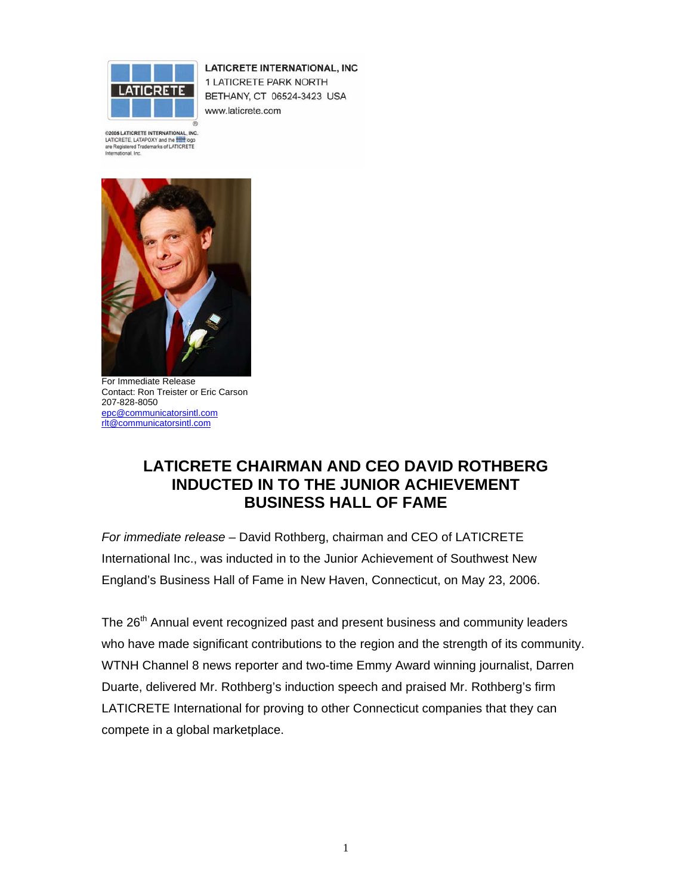

**LATICRETE INTERNATIONAL, INC** 1 LATICRETE PARK NORTH BETHANY, CT 06524-3423 USA www.laticrete.com

@2005 LATICRETE INTERNATIONAL, INC. LATICRETE, LATAPOXY and the **Company** are Registered Trademarks of LATICRETE<br>International, Inc.



For Immediate Release Contact: Ron Treister or Eric Carson 207-828-8050 epc@communicatorsintl.com rlt@communicatorsintl.com

## **LATICRETE CHAIRMAN AND CEO DAVID ROTHBERG INDUCTED IN TO THE JUNIOR ACHIEVEMENT BUSINESS HALL OF FAME**

*For immediate release* – David Rothberg, chairman and CEO of LATICRETE International Inc., was inducted in to the Junior Achievement of Southwest New England's Business Hall of Fame in New Haven, Connecticut, on May 23, 2006.

The 26<sup>th</sup> Annual event recognized past and present business and community leaders who have made significant contributions to the region and the strength of its community. WTNH Channel 8 news reporter and two-time Emmy Award winning journalist, Darren Duarte, delivered Mr. Rothberg's induction speech and praised Mr. Rothberg's firm LATICRETE International for proving to other Connecticut companies that they can compete in a global marketplace.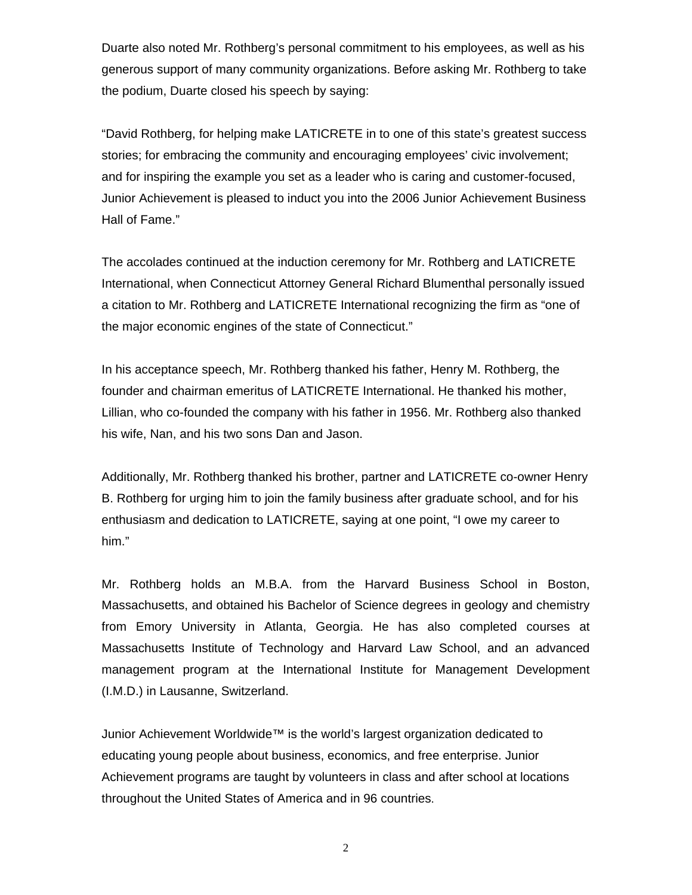Duarte also noted Mr. Rothberg's personal commitment to his employees, as well as his generous support of many community organizations. Before asking Mr. Rothberg to take the podium, Duarte closed his speech by saying:

"David Rothberg, for helping make LATICRETE in to one of this state's greatest success stories; for embracing the community and encouraging employees' civic involvement; and for inspiring the example you set as a leader who is caring and customer-focused, Junior Achievement is pleased to induct you into the 2006 Junior Achievement Business Hall of Fame."

The accolades continued at the induction ceremony for Mr. Rothberg and LATICRETE International, when Connecticut Attorney General Richard Blumenthal personally issued a citation to Mr. Rothberg and LATICRETE International recognizing the firm as "one of the major economic engines of the state of Connecticut."

In his acceptance speech, Mr. Rothberg thanked his father, Henry M. Rothberg, the founder and chairman emeritus of LATICRETE International. He thanked his mother, Lillian, who co-founded the company with his father in 1956. Mr. Rothberg also thanked his wife, Nan, and his two sons Dan and Jason.

Additionally, Mr. Rothberg thanked his brother, partner and LATICRETE co-owner Henry B. Rothberg for urging him to join the family business after graduate school, and for his enthusiasm and dedication to LATICRETE, saying at one point, "I owe my career to him."

Mr. Rothberg holds an M.B.A. from the Harvard Business School in Boston, Massachusetts, and obtained his Bachelor of Science degrees in geology and chemistry from Emory University in Atlanta, Georgia. He has also completed courses at Massachusetts Institute of Technology and Harvard Law School, and an advanced management program at the International Institute for Management Development (I.M.D.) in Lausanne, Switzerland.

Junior Achievement Worldwide™ is the world's largest organization dedicated to educating young people about business, economics, and free enterprise. Junior Achievement programs are taught by volunteers in class and after school at locations throughout the United States of America and in 96 countries.

2